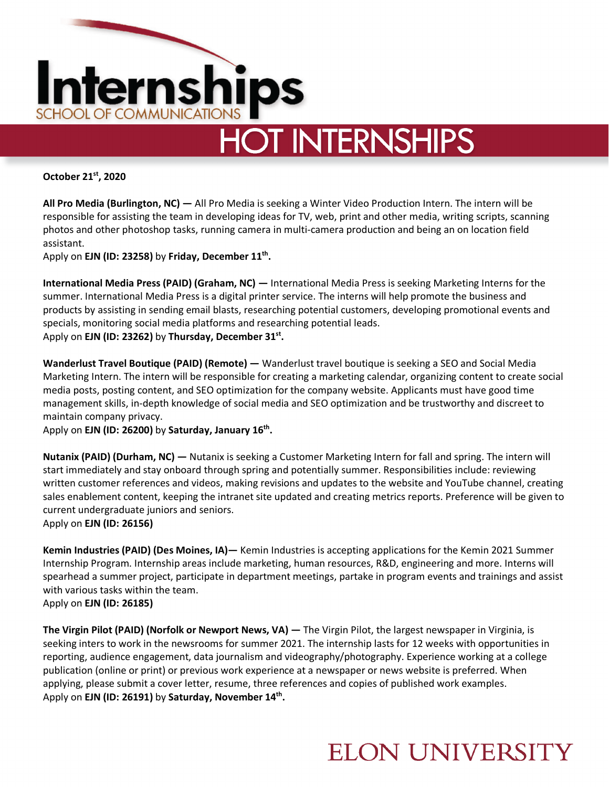

**HOT INTERNSHIPS** 

**October 21st, 2020**

**All Pro Media (Burlington, NC) —** All Pro Media is seeking a Winter Video Production Intern. The intern will be responsible for assisting the team in developing ideas for TV, web, print and other media, writing scripts, scanning photos and other photoshop tasks, running camera in multi-camera production and being an on location field assistant.

Apply on **EJN (ID: 23258)** by **Friday, December 11th.** 

**International Media Press (PAID) (Graham, NC) —** International Media Press is seeking Marketing Interns for the summer. International Media Press is a digital printer service. The interns will help promote the business and products by assisting in sending email blasts, researching potential customers, developing promotional events and specials, monitoring social media platforms and researching potential leads. Apply on **EJN (ID: 23262)** by **Thursday, December 31st.** 

**Wanderlust Travel Boutique (PAID) (Remote) —** Wanderlust travel boutique is seeking a SEO and Social Media Marketing Intern. The intern will be responsible for creating a marketing calendar, organizing content to create social media posts, posting content, and SEO optimization for the company website. Applicants must have good time management skills, in-depth knowledge of social media and SEO optimization and be trustworthy and discreet to maintain company privacy.

Apply on **EJN (ID: 26200)** by **Saturday, January 16th.** 

**Nutanix (PAID) (Durham, NC) —** Nutanix is seeking a Customer Marketing Intern for fall and spring. The intern will start immediately and stay onboard through spring and potentially summer. Responsibilities include: reviewing written customer references and videos, making revisions and updates to the website and YouTube channel, creating sales enablement content, keeping the intranet site updated and creating metrics reports. Preference will be given to current undergraduate juniors and seniors.

Apply on **EJN (ID: 26156)** 

**Kemin Industries (PAID) (Des Moines, IA)—** Kemin Industries is accepting applications for the Kemin 2021 Summer Internship Program. Internship areas include marketing, human resources, R&D, engineering and more. Interns will spearhead a summer project, participate in department meetings, partake in program events and trainings and assist with various tasks within the team. Apply on **EJN (ID: 26185)** 

**The Virgin Pilot (PAID) (Norfolk or Newport News, VA) —** The Virgin Pilot, the largest newspaper in Virginia, is seeking inters to work in the newsrooms for summer 2021. The internship lasts for 12 weeks with opportunities in reporting, audience engagement, data journalism and videography/photography. Experience working at a college publication (online or print) or previous work experience at a newspaper or news website is preferred. When applying, please submit a cover letter, resume, three references and copies of published work examples. Apply on **EJN (ID: 26191)** by **Saturday, November 14th.** 

#### **ELON UNIVERSITY**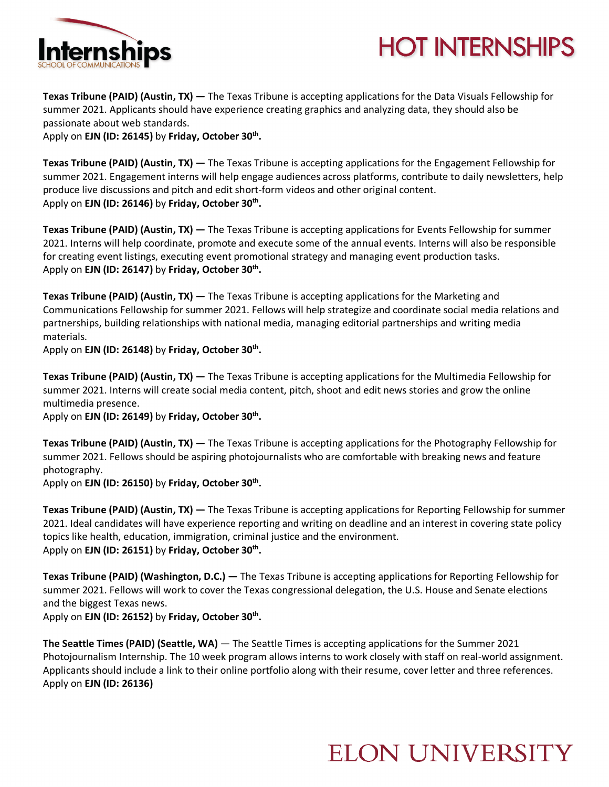

## **HOT INTERNSHIPS**

**Texas Tribune (PAID) (Austin, TX) —** The Texas Tribune is accepting applications for the Data Visuals Fellowship for summer 2021. Applicants should have experience creating graphics and analyzing data, they should also be passionate about web standards.

Apply on **EJN (ID: 26145)** by **Friday, October 30th.** 

**Texas Tribune (PAID) (Austin, TX) —** The Texas Tribune is accepting applications for the Engagement Fellowship for summer 2021. Engagement interns will help engage audiences across platforms, contribute to daily newsletters, help produce live discussions and pitch and edit short-form videos and other original content. Apply on **EJN (ID: 26146)** by Friday, October 30<sup>th</sup>.

**Texas Tribune (PAID) (Austin, TX) —** The Texas Tribune is accepting applications for Events Fellowship for summer 2021. Interns will help coordinate, promote and execute some of the annual events. Interns will also be responsible for creating event listings, executing event promotional strategy and managing event production tasks. Apply on **EJN (ID: 26147)** by **Friday, October 30th.** 

**Texas Tribune (PAID) (Austin, TX) —** The Texas Tribune is accepting applications for the Marketing and Communications Fellowship for summer 2021. Fellows will help strategize and coordinate social media relations and partnerships, building relationships with national media, managing editorial partnerships and writing media materials.

Apply on **EJN (ID: 26148)** by **Friday, October 30th.** 

**Texas Tribune (PAID) (Austin, TX) —** The Texas Tribune is accepting applications for the Multimedia Fellowship for summer 2021. Interns will create social media content, pitch, shoot and edit news stories and grow the online multimedia presence.

Apply on **EJN (ID: 26149)** by Friday, October 30<sup>th</sup>.

**Texas Tribune (PAID) (Austin, TX) —** The Texas Tribune is accepting applications for the Photography Fellowship for summer 2021. Fellows should be aspiring photojournalists who are comfortable with breaking news and feature photography.

Apply on **EJN (ID: 26150)** by **Friday, October 30th.** 

**Texas Tribune (PAID) (Austin, TX) —** The Texas Tribune is accepting applications for Reporting Fellowship for summer 2021. Ideal candidates will have experience reporting and writing on deadline and an interest in covering state policy topics like health, education, immigration, criminal justice and the environment. Apply on **EJN (ID: 26151)** by **Friday, October 30th.** 

**Texas Tribune (PAID) (Washington, D.C.) —** The Texas Tribune is accepting applications for Reporting Fellowship for summer 2021. Fellows will work to cover the Texas congressional delegation, the U.S. House and Senate elections and the biggest Texas news.

Apply on **EJN (ID: 26152)** by Friday, October 30<sup>th</sup>.

**The Seattle Times (PAID) (Seattle, WA)** — The Seattle Times is accepting applications for the Summer 2021 Photojournalism Internship. The 10 week program allows interns to work closely with staff on real-world assignment. Applicants should include a link to their online portfolio along with their resume, cover letter and three references. Apply on **EJN (ID: 26136)**

## **ELON UNIVERSITY**